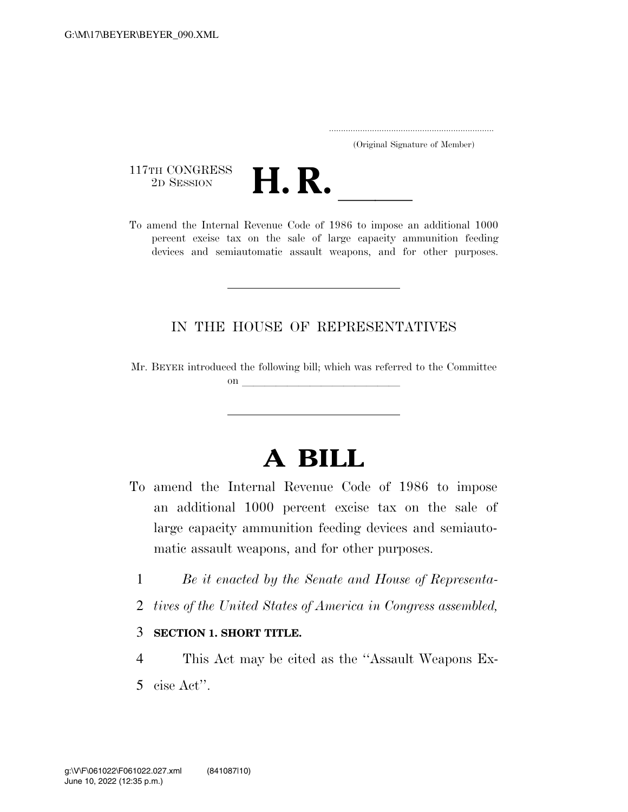..................................................................... (Original Signature of Member)

117TH CONGRESS<br>2D SESSION



117TH CONGRESS<br>
2D SESSION<br>
To amend the Internal Revenue Code of 1986 to impose an additional 1000 percent excise tax on the sale of large capacity ammunition feeding devices and semiautomatic assault weapons, and for other purposes.

## IN THE HOUSE OF REPRESENTATIVES

Mr. BEYER introduced the following bill; which was referred to the Committee on  $\overline{\qquad \qquad }$ 

## **A BILL**

- To amend the Internal Revenue Code of 1986 to impose an additional 1000 percent excise tax on the sale of large capacity ammunition feeding devices and semiautomatic assault weapons, and for other purposes.
	- 1 *Be it enacted by the Senate and House of Representa-*
	- 2 *tives of the United States of America in Congress assembled,*

## 3 **SECTION 1. SHORT TITLE.**

- 4 This Act may be cited as the ''Assault Weapons Ex-
- 5 cise Act''.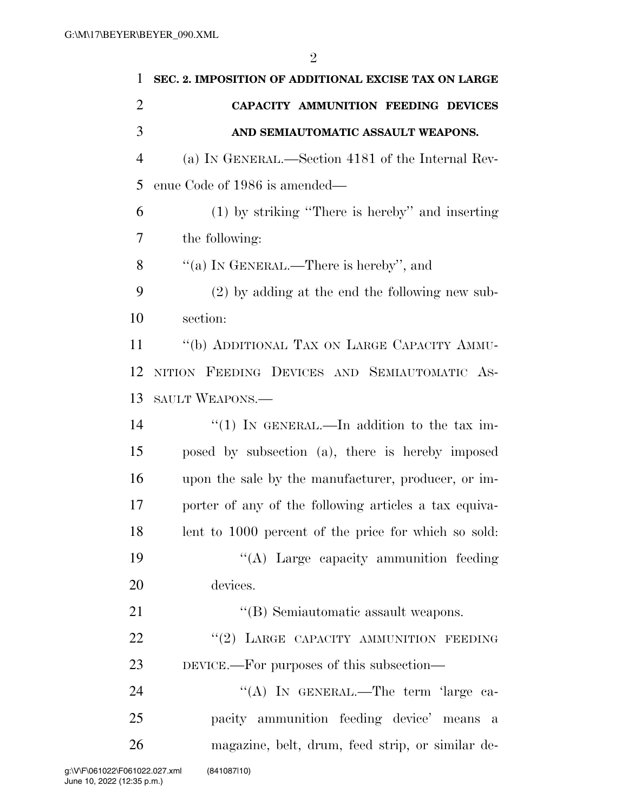| 1              | SEC. 2. IMPOSITION OF ADDITIONAL EXCISE TAX ON LARGE  |
|----------------|-------------------------------------------------------|
| $\overline{2}$ | CAPACITY AMMUNITION FEEDING DEVICES                   |
| 3              | AND SEMIAUTOMATIC ASSAULT WEAPONS.                    |
| 4              | (a) IN GENERAL.—Section 4181 of the Internal Rev-     |
| 5              | enue Code of 1986 is amended—                         |
| 6              | $(1)$ by striking "There is hereby" and inserting     |
| 7              | the following:                                        |
| 8              | "(a) IN GENERAL.—There is hereby", and                |
| 9              | (2) by adding at the end the following new sub-       |
| 10             | section:                                              |
| 11             | "(b) ADDITIONAL TAX ON LARGE CAPACITY AMMU-           |
| 12             | NITION FEEDING DEVICES AND SEMIAUTOMATIC AS-          |
| 13             | SAULT WEAPONS.—                                       |
| 14             | "(1) IN GENERAL.—In addition to the tax im-           |
| 15             | posed by subsection (a), there is hereby imposed      |
| 16             | upon the sale by the manufacturer, producer, or im-   |
| 17             | porter of any of the following articles a tax equiva- |
| 18             | lent to 1000 percent of the price for which so sold:  |
| 19             | "(A) Large capacity ammunition feeding                |
| 20             | devices.                                              |
| 21             | "(B) Semiautomatic assault weapons.                   |
| 22             | "(2) LARGE CAPACITY AMMUNITION FEEDING                |
| 23             | DEVICE.—For purposes of this subsection—              |
| 24             | "(A) IN GENERAL.—The term 'large ca-                  |
| 25             | pacity ammunition feeding device' means a             |
| 26             | magazine, belt, drum, feed strip, or similar de-      |
|                |                                                       |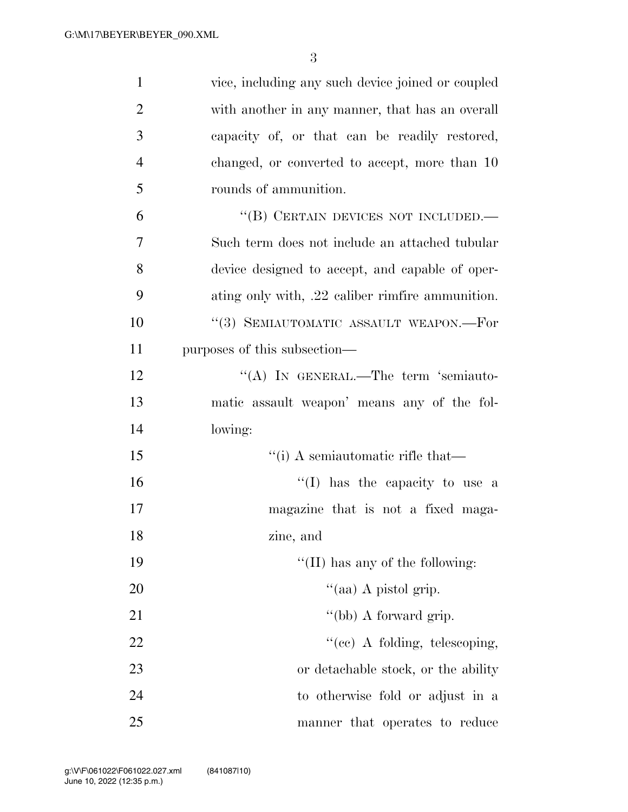| $\mathbf{1}$   | vice, including any such device joined or coupled |
|----------------|---------------------------------------------------|
| $\overline{2}$ | with another in any manner, that has an overall   |
| 3              | capacity of, or that can be readily restored,     |
| $\overline{4}$ | changed, or converted to accept, more than 10     |
| 5              | rounds of ammunition.                             |
| 6              | "(B) CERTAIN DEVICES NOT INCLUDED.-               |
| $\tau$         | Such term does not include an attached tubular    |
| 8              | device designed to accept, and capable of oper-   |
| 9              | ating only with, .22 caliber rimfire ammunition.  |
| 10             | "(3) SEMIAUTOMATIC ASSAULT WEAPON.—For            |
| 11             | purposes of this subsection—                      |
| 12             | "(A) IN GENERAL.—The term 'semiauto-              |
| 13             | matic assault weapon' means any of the fol-       |
| 14             | lowing:                                           |
| 15             | "(i) A semiautomatic rifle that—                  |
| 16             | "(I) has the capacity to use a                    |
| 17             | magazine that is not a fixed maga-                |
| 18             | zine, and                                         |
| 19             | "(II) has any of the following:                   |
| 20             | "(aa) A pistol grip.                              |
| 21             | "(bb) A forward grip.                             |
| 22             | $f''(ce)$ A folding, telescoping,                 |
| 23             | or detachable stock, or the ability               |
| 24             | to otherwise fold or adjust in a                  |
| 25             | manner that operates to reduce                    |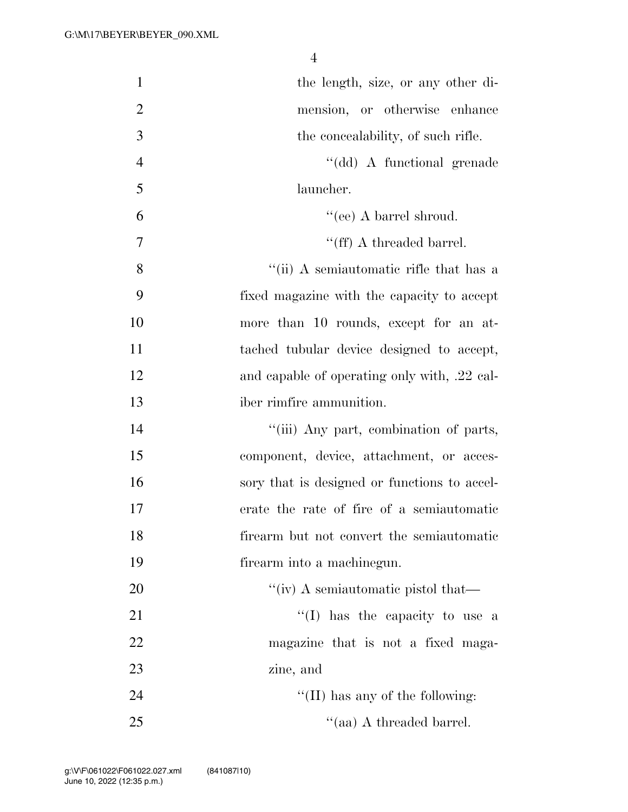| $\mathbf{1}$   | the length, size, or any other di-                          |
|----------------|-------------------------------------------------------------|
| $\overline{2}$ | mension, or otherwise enhance                               |
| 3              | the concealability, of such rifle.                          |
| $\overline{4}$ | "(dd) A functional grenade                                  |
| 5              | launcher.                                                   |
| 6              | "(ee) A barrel shroud.                                      |
| 7              | $\lq\lq(ff)$ A threaded barrel.                             |
| 8              | "(ii) A semiautomatic rifle that has a                      |
| 9              | fixed magazine with the capacity to accept                  |
| 10             | more than 10 rounds, except for an at-                      |
| 11             | tached tubular device designed to accept,                   |
| 12             | and capable of operating only with, .22 cal-                |
| 13             | iber rimfire ammunition.                                    |
| 14             | "(iii) Any part, combination of parts,                      |
| 15             | component, device, attachment, or acces-                    |
| 16             | sory that is designed or functions to accel-                |
| 17             | erate the rate of fire of a semiautomatic                   |
| 18             | firearm but not convert the semiautomatic                   |
| 19             | firearm into a machinegun.                                  |
| 20             | "(iv) A semiautomatic pistol that— $\overline{\phantom{a}}$ |
| 21             | $\lq\lq$ . Thus the capacity to use a                       |
| 22             | magazine that is not a fixed maga-                          |
| 23             | zine, and                                                   |
| 24             | $``(II)$ has any of the following:                          |
| 25             | "(aa) A threaded barrel.                                    |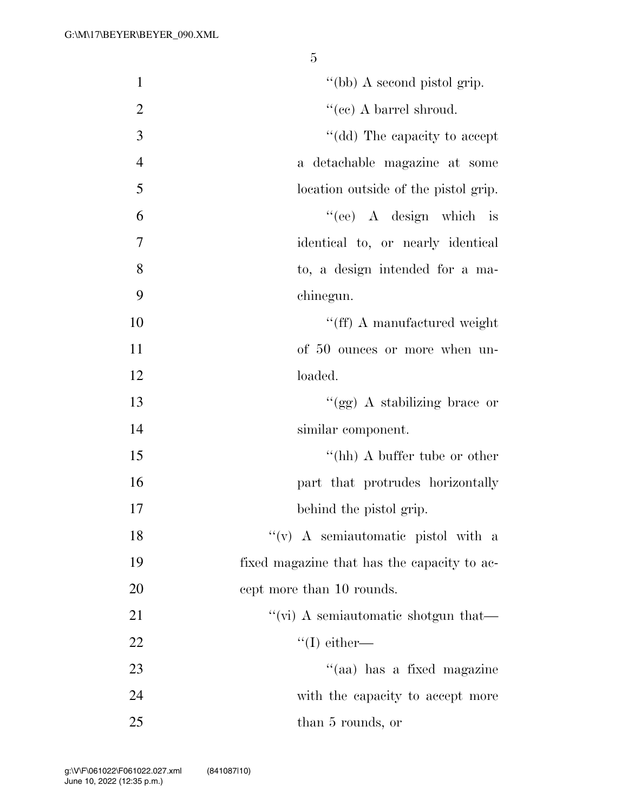| $\mathbf{1}$   | "(bb) A second pistol grip.                 |
|----------------|---------------------------------------------|
| $\overline{2}$ | "(ee) A barrel shroud.                      |
| 3              | "(dd) The capacity to accept                |
| $\overline{4}$ | a detachable magazine at some               |
| 5              | location outside of the pistol grip.        |
| 6              | "(ee) A design which is                     |
| 7              | identical to, or nearly identical           |
| 8              | to, a design intended for a ma-             |
| 9              | chinegun.                                   |
| 10             | "(ff) A manufactured weight                 |
| 11             | of 50 ounces or more when un-               |
| 12             | loaded.                                     |
| 13             | "(gg) A stabilizing brace or                |
| 14             | similar component.                          |
| 15             | "(hh) A buffer tube or other                |
| 16             | part that protrudes horizontally            |
| 17             | behind the pistol grip.                     |
| 18             | "(v) A semiautomatic pistol with a          |
| 19             | fixed magazine that has the capacity to ac- |
| 20             | cept more than 10 rounds.                   |
| 21             | "(vi) A semiautomatic shotgun that—         |
| 22             | $\lq\lq$ either—                            |
| 23             | "(aa) has a fixed magazine                  |
| 24             | with the capacity to accept more            |
| 25             | than 5 rounds, or                           |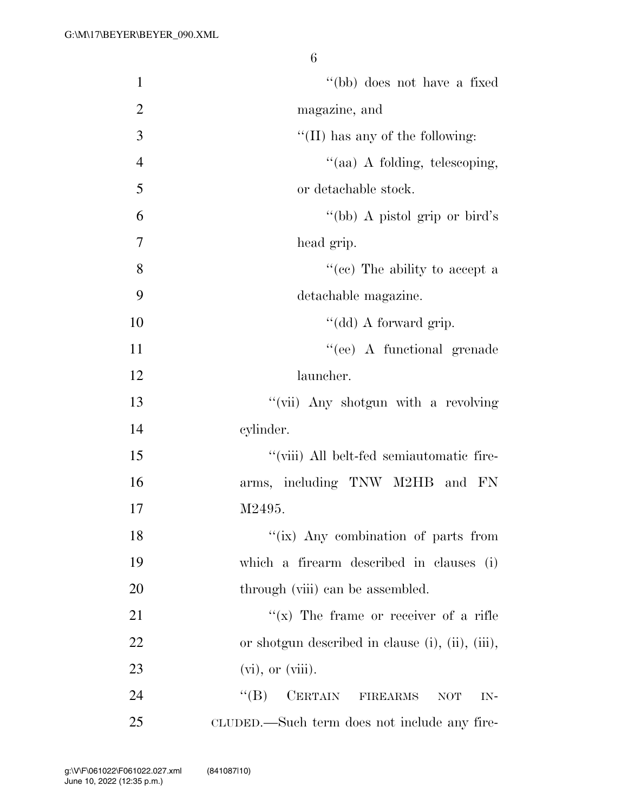| $\mathbf{1}$   | "(bb) does not have a fixed                           |
|----------------|-------------------------------------------------------|
| $\overline{2}$ | magazine, and                                         |
| 3              | "(II) has any of the following:                       |
| $\overline{4}$ | "(aa) A folding, telescoping,                         |
| 5              | or detachable stock.                                  |
| 6              | "(bb) A pistol grip or bird's                         |
| 7              | head grip.                                            |
| 8              | "(cc) The ability to accept a                         |
| 9              | detachable magazine.                                  |
| 10             | "(dd) A forward grip.                                 |
| 11             | "(ee) A functional grenade                            |
| 12             | launcher.                                             |
| 13             | "(vii) Any shotgun with a revolving                   |
| 14             | cylinder.                                             |
| 15             | "(viii) All belt-fed semiautomatic fire-              |
| 16             | arms, including TNW M2HB and FN                       |
| 17             | M2495.                                                |
| 18             | "(ix) Any combination of parts from                   |
| 19             | which a firearm described in clauses (i)              |
| 20             | through (viii) can be assembled.                      |
| 21             | $f(x)$ The frame or receiver of a rifle               |
| 22             | or shotgun described in clause (i), (ii), (iii),      |
| 23             | $(vi)$ , or $(viii)$ .                                |
| 24             | CERTAIN FIREARMS<br>$\lq\lq (B)$<br><b>NOT</b><br>IN- |
| 25             | CLUDED.—Such term does not include any fire-          |